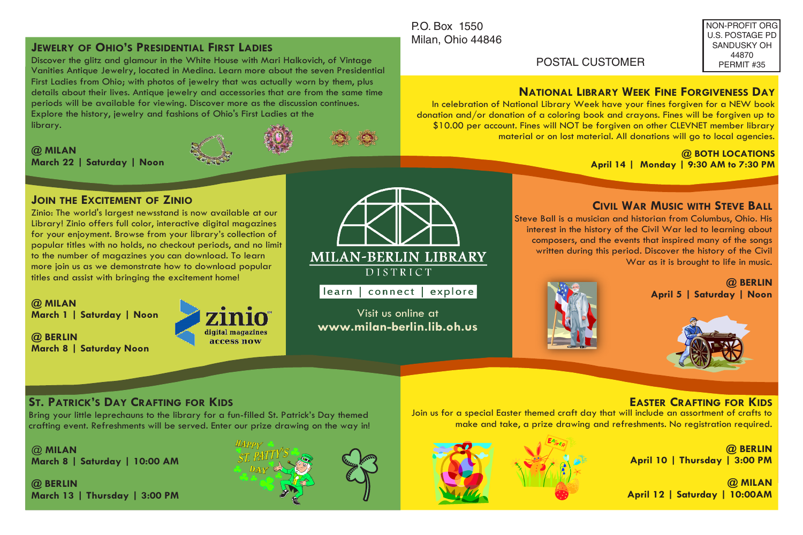## **JEWELRY OF OHIO'S PRESIDENTIAL FIRST LADIES**

Discover the glitz and glamour in the White House with Mari Halkovich, of Vintage Vanities Antique Jewelry, located in Medina. Learn more about the seven Presidential First Ladies from Ohio; with photos of jewelry that was actually worn by them, plus details about their lives. Antique jewelry and accessories that are from the same time periods will be available for viewing. Discover more as the discussion continues. Explore the history, jewelry and fashions of Ohio's First Ladies at the library.

**@ MILAN**<br>March 22 | Saturday | Noon



## P.O. Box 1550 Milan, Ohio 44846

NON-PROFIT ORG U.S. POSTAGE PD SANDUSKY OH 44870 PERMIT #35

# **NATIONAL LIBRARY WEEK FINE FORGIVENESS DAY**

In celebration of National Library Week have your fines forgiven for a NEW book donation and/or donation of a coloring book and crayons. Fines will be forgiven up to \$10.00 per account. Fines will NOT be forgiven on other CLEVNET member library material or on lost material. All donations will go to local agencies.

POSTAL CUSTOMER

**March 22 | Saturday | Noon @ BOTH LOCATIONS April 14 | Monday | 9:30 AM to 7:30 PM**

### **JOIN THE EXCITEMENT OF ZINIO**

Zinio: The world's largest newsstand is now available at our Library! Zinio offers full color, interactive digital magazines for your enjoyment. Browse from your library's collection of popular titles with no holds, no checkout periods, and no limit to the number of magazines you can download. To learn more join us as we demonstrate how to download popular titles and assist with bringing the excitement home!

**@ MILAN March 1 | Saturday | Noon**

**@ BERLIN March 8 | Saturday Noon**





learn | connect | explore

Visit us online at **www.milan-berlin.lib.oh.us** 

### **CIVIL WAR MUSIC WITH STEVE BALL**

Steve Ball is a musician and historian from Columbus, Ohio. His interest in the history of the Civil War led to learning about composers, and the events that inspired many of the songs written during this period. Discover the history of the Civil War as it is brought to life in music.

> **@ BERLIN April 5 | Saturday | Noon**





### **ST. PATRICK'S DAY CRAFTING FOR KIDS**

Bring your little leprechauns to the library for a fun-filled St. Patrick's Day themed crafting event. Refreshments will be served. Enter our prize drawing on the way in!

@ **MILAN March 8 | Saturday | 10:00 AM**

**@ BERLIN March 13 | Thursday | 3:00 PM**



**EASTER CRAFTING FOR KIDS** Join us for a special Easter themed craft day that will include an assortment of crafts to make and take, a prize drawing and refreshments. No registration required.

> **@ BERLIN April 10 | Thursday | 3:00 PM**

> **@ MILAN April 12 | Saturday | 10:00AM**